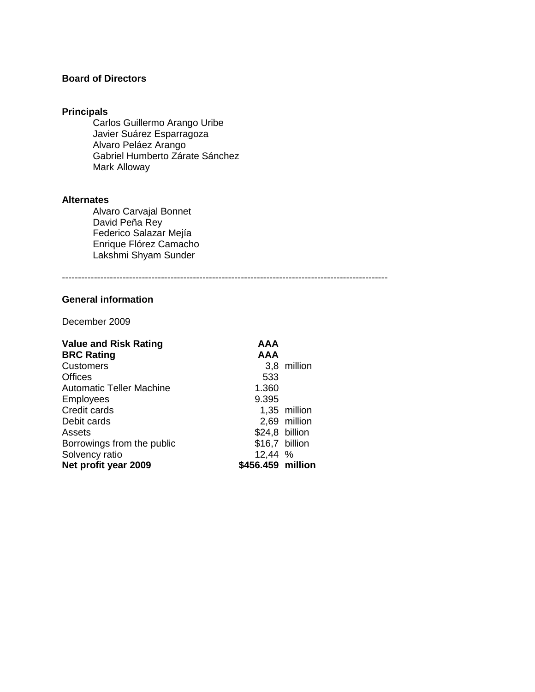## **Board of Directors**

## **Principals**

Carlos Guillermo Arango Uribe Javier Suárez Esparragoza Alvaro Peláez Arango Gabriel Humberto Zárate Sánchez Mark Alloway

#### **Alternates**

Alvaro Carvajal Bonnet David Peña Rey Federico Salazar Mejía Enrique Flórez Camacho Lakshmi Shyam Sunder

------------------------------------------------------------------------------------------------------

## **General information**

December 2009

| <b>Value and Risk Rating</b>    | AAA<br><b>AAA</b> |              |
|---------------------------------|-------------------|--------------|
| <b>BRC Rating</b>               |                   |              |
| <b>Customers</b>                |                   | 3,8 million  |
| <b>Offices</b>                  | 533               |              |
| <b>Automatic Teller Machine</b> | 1.360             |              |
| <b>Employees</b>                | 9.395             |              |
| Credit cards                    |                   | 1,35 million |
| Debit cards                     |                   | 2,69 million |
| Assets                          | \$24,8 billion    |              |
| Borrowings from the public      | \$16,7 billion    |              |
| Solvency ratio                  | 12,44 %           |              |
| Net profit year 2009            | \$456.459 million |              |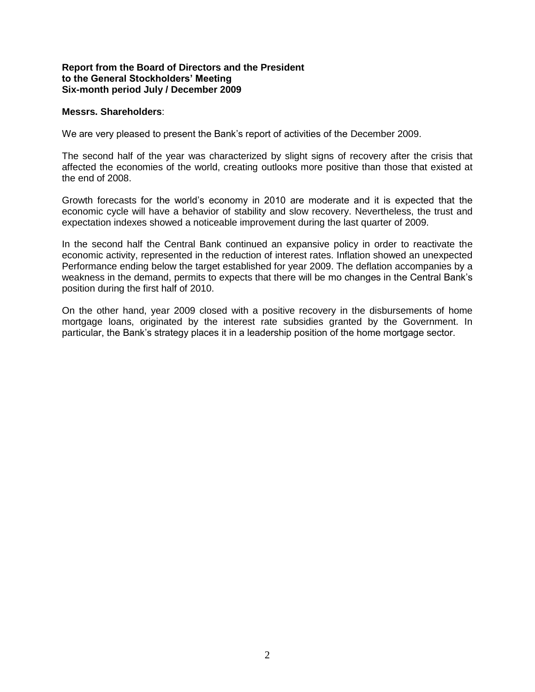#### **Report from the Board of Directors and the President to the General Stockholders' Meeting Six-month period July / December 2009**

#### **Messrs. Shareholders**:

We are very pleased to present the Bank's report of activities of the December 2009.

The second half of the year was characterized by slight signs of recovery after the crisis that affected the economies of the world, creating outlooks more positive than those that existed at the end of 2008.

Growth forecasts for the world's economy in 2010 are moderate and it is expected that the economic cycle will have a behavior of stability and slow recovery. Nevertheless, the trust and expectation indexes showed a noticeable improvement during the last quarter of 2009.

In the second half the Central Bank continued an expansive policy in order to reactivate the economic activity, represented in the reduction of interest rates. Inflation showed an unexpected Performance ending below the target established for year 2009. The deflation accompanies by a weakness in the demand, permits to expects that there will be mo changes in the Central Bank's position during the first half of 2010.

On the other hand, year 2009 closed with a positive recovery in the disbursements of home mortgage loans, originated by the interest rate subsidies granted by the Government. In particular, the Bank's strategy places it in a leadership position of the home mortgage sector.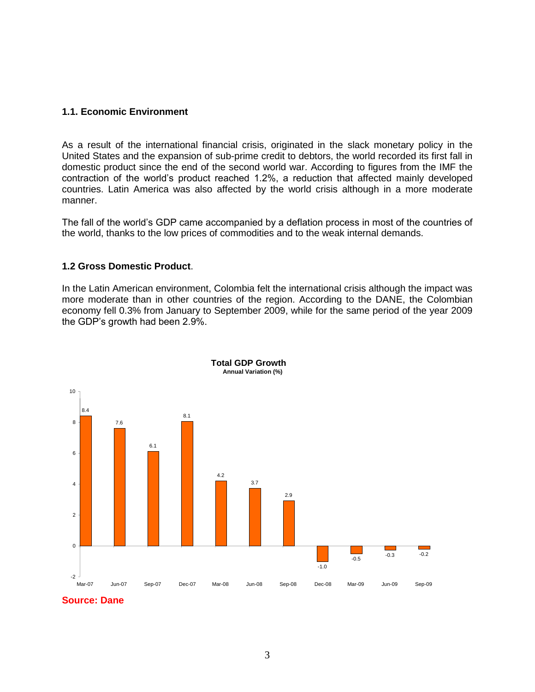#### **1.1. Economic Environment**

As a result of the international financial crisis, originated in the slack monetary policy in the United States and the expansion of sub-prime credit to debtors, the world recorded its first fall in domestic product since the end of the second world war. According to figures from the IMF the contraction of the world's product reached 1.2%, a reduction that affected mainly developed countries. Latin America was also affected by the world crisis although in a more moderate manner.

The fall of the world's GDP came accompanied by a deflation process in most of the countries of the world, thanks to the low prices of commodities and to the weak internal demands.

#### **1.2 Gross Domestic Product**.

In the Latin American environment, Colombia felt the international crisis although the impact was more moderate than in other countries of the region. According to the DANE, the Colombian economy fell 0.3% from January to September 2009, while for the same period of the year 2009 the GDP's growth had been 2.9%.



**Source: Dane**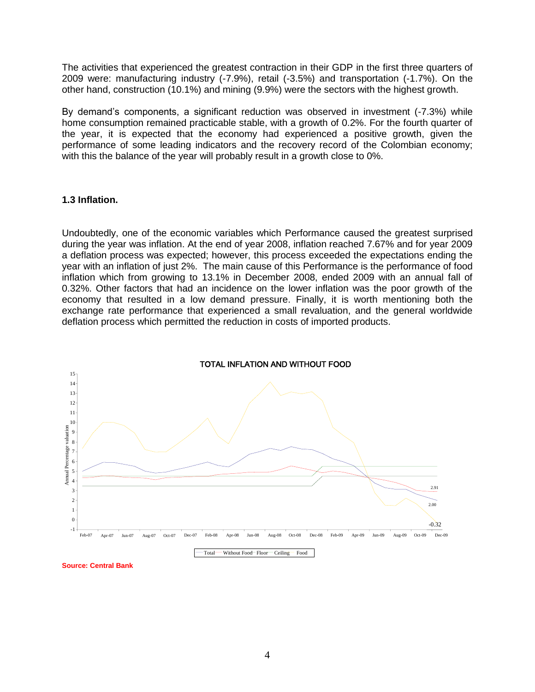The activities that experienced the greatest contraction in their GDP in the first three quarters of 2009 were: manufacturing industry (-7.9%), retail (-3.5%) and transportation (-1.7%). On the other hand, construction (10.1%) and mining (9.9%) were the sectors with the highest growth.

By demand's components, a significant reduction was observed in investment (-7.3%) while home consumption remained practicable stable, with a growth of 0.2%. For the fourth quarter of the year, it is expected that the economy had experienced a positive growth, given the performance of some leading indicators and the recovery record of the Colombian economy; with this the balance of the year will probably result in a growth close to 0%.

#### **1.3 Inflation.**

Undoubtedly, one of the economic variables which Performance caused the greatest surprised during the year was inflation. At the end of year 2008, inflation reached 7.67% and for year 2009 a deflation process was expected; however, this process exceeded the expectations ending the year with an inflation of just 2%. The main cause of this Performance is the performance of food inflation which from growing to 13.1% in December 2008, ended 2009 with an annual fall of 0.32%. Other factors that had an incidence on the lower inflation was the poor growth of the economy that resulted in a low demand pressure. Finally, it is worth mentioning both the exchange rate performance that experienced a small revaluation, and the general worldwide deflation process which permitted the reduction in costs of imported products.



**Source: Central Bank**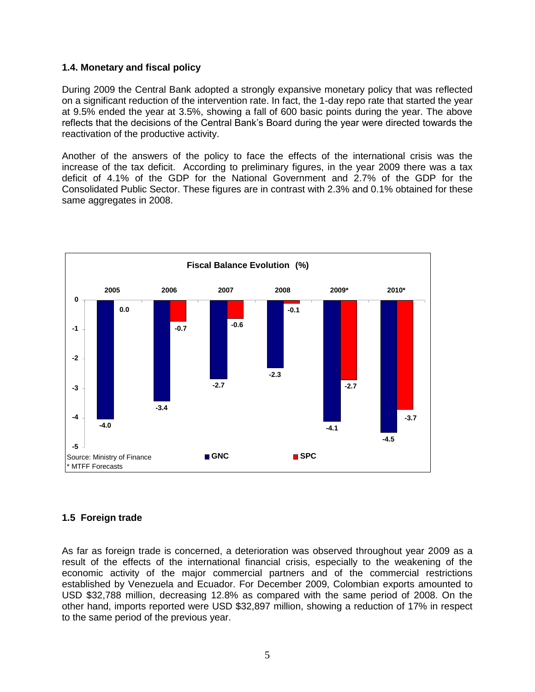## **1.4. Monetary and fiscal policy**

During 2009 the Central Bank adopted a strongly expansive monetary policy that was reflected on a significant reduction of the intervention rate. In fact, the 1-day repo rate that started the year at 9.5% ended the year at 3.5%, showing a fall of 600 basic points during the year. The above reflects that the decisions of the Central Bank's Board during the year were directed towards the reactivation of the productive activity.

Another of the answers of the policy to face the effects of the international crisis was the increase of the tax deficit. According to preliminary figures, in the year 2009 there was a tax deficit of 4.1% of the GDP for the National Government and 2.7% of the GDP for the Consolidated Public Sector. These figures are in contrast with 2.3% and 0.1% obtained for these same aggregates in 2008.



## **1.5 Foreign trade**

As far as foreign trade is concerned, a deterioration was observed throughout year 2009 as a result of the effects of the international financial crisis, especially to the weakening of the economic activity of the major commercial partners and of the commercial restrictions established by Venezuela and Ecuador. For December 2009, Colombian exports amounted to USD \$32,788 million, decreasing 12.8% as compared with the same period of 2008. On the other hand, imports reported were USD \$32,897 million, showing a reduction of 17% in respect to the same period of the previous year.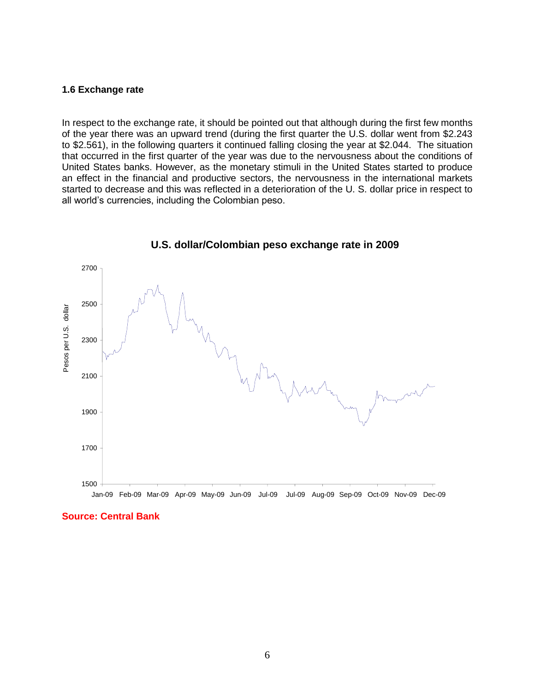#### **1.6 Exchange rate**

In respect to the exchange rate, it should be pointed out that although during the first few months of the year there was an upward trend (during the first quarter the U.S. dollar went from \$2.243 to \$2.561), in the following quarters it continued falling closing the year at \$2.044. The situation that occurred in the first quarter of the year was due to the nervousness about the conditions of United States banks. However, as the monetary stimuli in the United States started to produce an effect in the financial and productive sectors, the nervousness in the international markets started to decrease and this was reflected in a deterioration of the U. S. dollar price in respect to all world's currencies, including the Colombian peso.



 **U.S. dollar/Colombian peso exchange rate in 2009** 

#### **Source: Central Bank**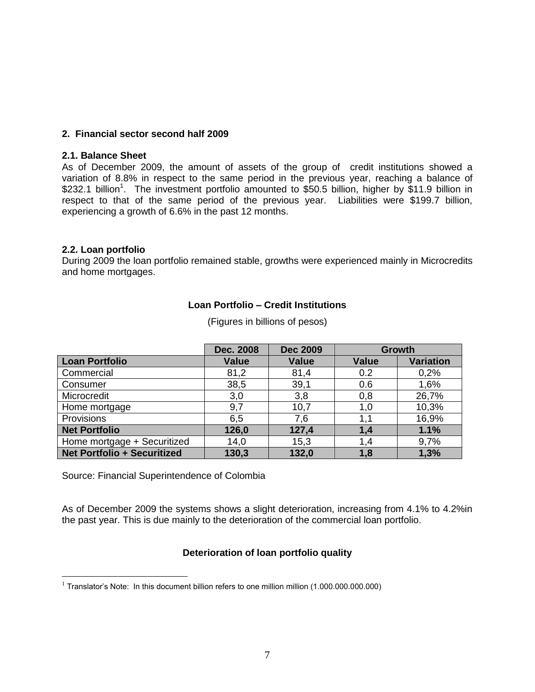#### **2. Financial sector second half 2009**

#### **2.1. Balance Sheet**

As of December 2009, the amount of assets of the group of credit institutions showed a variation of 8.8% in respect to the same period in the previous year, reaching a balance of \$232.1 billion<sup>1</sup>. The investment portfolio amounted to \$50.5 billion, higher by \$11.9 billion in respect to that of the same period of the previous year. Liabilities were \$199.7 billion, experiencing a growth of 6.6% in the past 12 months.

#### **2.2. Loan portfolio**

During 2009 the loan portfolio remained stable, growths were experienced mainly in Microcredits and home mortgages.

## **Loan Portfolio – Credit Institutions**

|                                    | Dec. 2008    | <b>Dec 2009</b> | <b>Growth</b> |                  |
|------------------------------------|--------------|-----------------|---------------|------------------|
| <b>Loan Portfolio</b>              | <b>Value</b> | <b>Value</b>    | <b>Value</b>  | <b>Variation</b> |
| Commercial                         | 81,2         | 81,4            | 0.2           | 0,2%             |
| Consumer                           | 38,5         | 39,1            | 0.6           | 1,6%             |
| Microcredit                        | 3,0          | 3,8             | 0,8           | 26,7%            |
| Home mortgage                      | 9,7          | 10,7            | 1,0           | 10,3%            |
| Provisions                         | 6,5          | 7,6             | 1,1           | 16,9%            |
| <b>Net Portfolio</b>               | 126,0        | 127,4           | 1,4           | 1.1%             |
| Home mortgage + Securitized        | 14,0         | 15,3            | 1,4           | 9,7%             |
| <b>Net Portfolio + Securitized</b> | 130,3        | 132,0           | 1,8           | 1,3%             |

(Figures in billions of pesos)

Source: Financial Superintendence of Colombia

As of December 2009 the systems shows a slight deterioration, increasing from 4.1% to 4.2%in the past year. This is due mainly to the deterioration of the commercial loan portfolio.

## **Deterioration of loan portfolio quality**

 1 Translator's Note: In this document billion refers to one million million (1.000.000.000.000)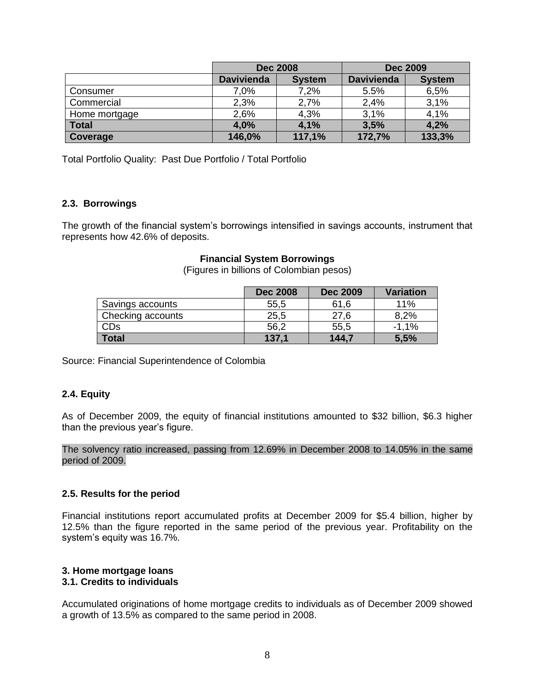|               |                   | <b>Dec 2008</b> | <b>Dec 2009</b>   |               |
|---------------|-------------------|-----------------|-------------------|---------------|
|               | <b>Davivienda</b> | <b>System</b>   | <b>Davivienda</b> | <b>System</b> |
| Consumer      | 7.0%              | 7,2%            | 5.5%              | 6,5%          |
| Commercial    | 2,3%              | 2,7%            | 2,4%              | 3,1%          |
| Home mortgage | 2.6%              | 4,3%            | 3,1%              | 4,1%          |
| <b>Total</b>  | 4,0%              | 4,1%            | 3,5%              | 4,2%          |
| Coverage      | 146,0%            | 117,1%          | 172,7%            | 133,3%        |

Total Portfolio Quality: Past Due Portfolio / Total Portfolio

## **2.3. Borrowings**

The growth of the financial system's borrowings intensified in savings accounts, instrument that represents how 42.6% of deposits.

#### **Financial System Borrowings**

(Figures in billions of Colombian pesos)

|                   | <b>Dec 2008</b> | <b>Dec 2009</b> | <b>Variation</b> |
|-------------------|-----------------|-----------------|------------------|
| Savings accounts  | 55,5            | 61,6            | 11%              |
| Checking accounts | 25,5            | 27.6            | 8,2%             |
| CDs               | 56,2            | 55,5            | $-1.1%$          |
| <b>Total</b>      | 137.1           | 144,7           | 5,5%             |

Source: Financial Superintendence of Colombia

#### **2.4. Equity**

As of December 2009, the equity of financial institutions amounted to \$32 billion, \$6.3 higher than the previous year's figure.

The solvency ratio increased, passing from 12.69% in December 2008 to 14.05% in the same period of 2009.

#### **2.5. Results for the period**

Financial institutions report accumulated profits at December 2009 for \$5.4 billion, higher by 12.5% than the figure reported in the same period of the previous year. Profitability on the system's equity was 16.7%.

# **3. Home mortgage loans**

## **3.1. Credits to individuals**

Accumulated originations of home mortgage credits to individuals as of December 2009 showed a growth of 13.5% as compared to the same period in 2008.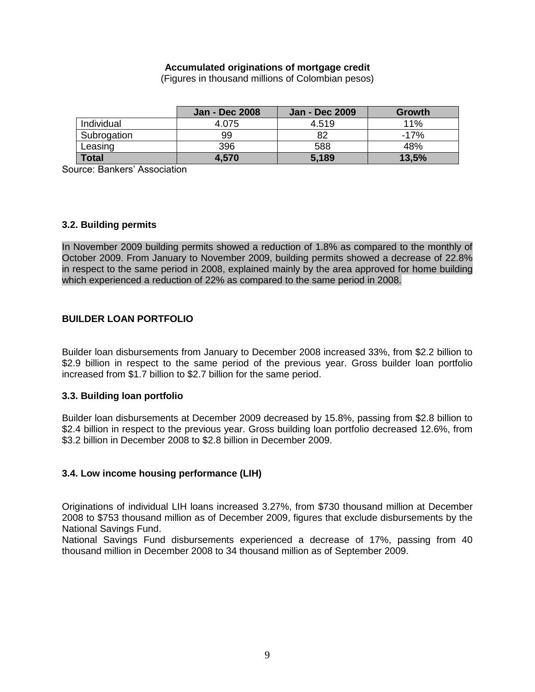#### **Accumulated originations of mortgage credit**

(Figures in thousand millions of Colombian pesos)

|              | <b>Jan - Dec 2008</b> | <b>Jan - Dec 2009</b> | Growth |
|--------------|-----------------------|-----------------------|--------|
| Individual   | 4.075                 | 4.519                 | 11%    |
| Subrogation  | 99                    | 82                    | $-17%$ |
| Leasing      | 396                   | 588                   | 48%    |
| <b>Total</b> | 4,570                 | 5,189                 | 13,5%  |

Source: Bankers' Association

#### **3.2. Building permits**

In November 2009 building permits showed a reduction of 1.8% as compared to the monthly of October 2009. From January to November 2009, building permits showed a decrease of 22.8% in respect to the same period in 2008, explained mainly by the area approved for home building which experienced a reduction of 22% as compared to the same period in 2008.

## **BUILDER LOAN PORTFOLIO**

Builder loan disbursements from January to December 2008 increased 33%, from \$2.2 billion to \$2.9 billion in respect to the same period of the previous year. Gross builder loan portfolio increased from \$1.7 billion to \$2.7 billion for the same period.

## **3.3. Building loan portfolio**

Builder loan disbursements at December 2009 decreased by 15.8%, passing from \$2.8 billion to \$2.4 billion in respect to the previous year. Gross building loan portfolio decreased 12.6%, from \$3.2 billion in December 2008 to \$2.8 billion in December 2009.

## **3.4. Low income housing performance (LIH)**

Originations of individual LIH loans increased 3.27%, from \$730 thousand million at December 2008 to \$753 thousand million as of December 2009, figures that exclude disbursements by the National Savings Fund.

National Savings Fund disbursements experienced a decrease of 17%, passing from 40 thousand million in December 2008 to 34 thousand million as of September 2009.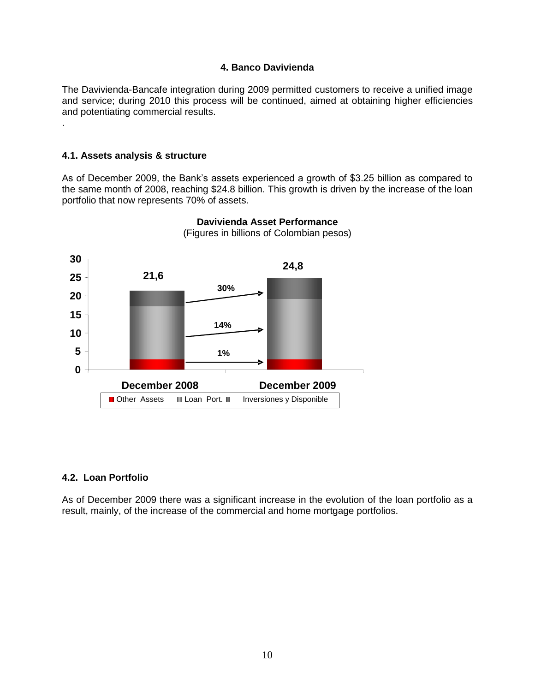#### **4. Banco Davivienda**

The Davivienda-Bancafe integration during 2009 permitted customers to receive a unified image and service; during 2010 this process will be continued, aimed at obtaining higher efficiencies and potentiating commercial results.

#### **4.1. Assets analysis & structure**

.

As of December 2009, the Bank's assets experienced a growth of \$3.25 billion as compared to the same month of 2008, reaching \$24.8 billion. This growth is driven by the increase of the loan portfolio that now represents 70% of assets.



## **Davivienda Asset Performance** (Figures in billions of Colombian pesos)

## **4.2. Loan Portfolio**

As of December 2009 there was a significant increase in the evolution of the loan portfolio as a result, mainly, of the increase of the commercial and home mortgage portfolios.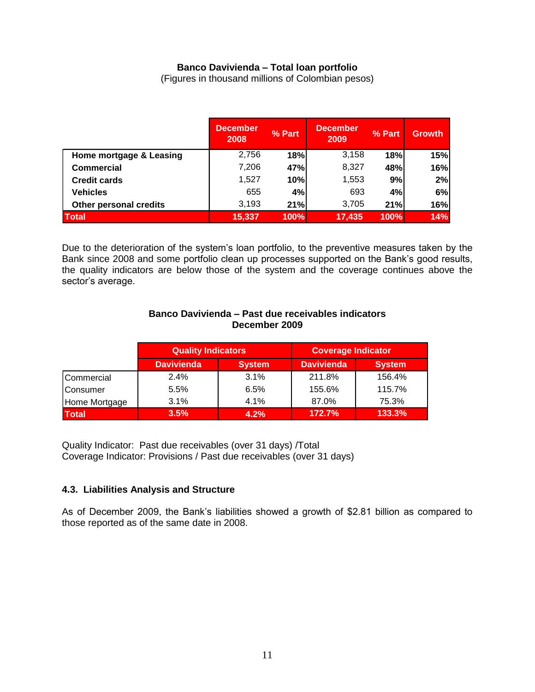## **Banco Davivienda – Total loan portfolio**

(Figures in thousand millions of Colombian pesos)

|                               | <b>December</b><br>2008 | % Part      | <b>December</b><br>2009 | % Part | Growth |
|-------------------------------|-------------------------|-------------|-------------------------|--------|--------|
| Home mortgage & Leasing       | 2,756                   | 18%         | 3,158                   | 18%    | 15%    |
| <b>Commercial</b>             | 7,206                   | 47%         | 8,327                   | 48%    | 16%    |
| <b>Credit cards</b>           | 1,527                   | 10%         | 1,553                   | 9%     | 2%     |
| <b>Vehicles</b>               | 655                     | 4%          | 693                     | 4%     | 6%     |
| <b>Other personal credits</b> | 3,193                   | 21%         | 3,705                   | 21%    | 16%    |
| <b>Total</b>                  | 15,337                  | <b>100%</b> | 17,435                  | 100%   | 14%    |

Due to the deterioration of the system's loan portfolio, to the preventive measures taken by the Bank since 2008 and some portfolio clean up processes supported on the Bank's good results, the quality indicators are below those of the system and the coverage continues above the sector's average.

#### **Banco Davivienda – Past due receivables indicators December 2009**

|                     | <b>Quality Indicators</b> |               | <b>Coverage Indicator</b> |               |
|---------------------|---------------------------|---------------|---------------------------|---------------|
|                     | <b>Davivienda</b>         | <b>System</b> | <b>Davivienda</b>         | <b>System</b> |
| <b>I</b> Commercial | 2.4%                      | 3.1%          | 211.8%                    | 156.4%        |
| Consumer            | 5.5%                      | 6.5%          | 155.6%                    | 115.7%        |
| Home Mortgage       | 3.1%                      | 4.1%          | 87.0%                     | 75.3%         |
| <b>Total</b>        | 3.5%                      | 4.2%          | 172.7%                    | 133.3%        |

Quality Indicator: Past due receivables (over 31 days) /Total Coverage Indicator: Provisions / Past due receivables (over 31 days)

## **4.3. Liabilities Analysis and Structure**

As of December 2009, the Bank's liabilities showed a growth of \$2.81 billion as compared to those reported as of the same date in 2008.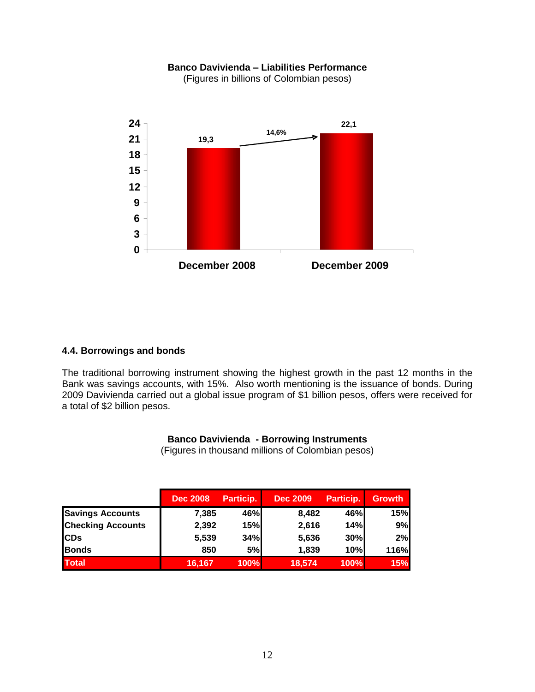## **Banco Davivienda – Liabilities Performance**

(Figures in billions of Colombian pesos)



#### **4.4. Borrowings and bonds**

The traditional borrowing instrument showing the highest growth in the past 12 months in the Bank was savings accounts, with 15%. Also worth mentioning is the issuance of bonds. During 2009 Davivienda carried out a global issue program of \$1 billion pesos, offers were received for a total of \$2 billion pesos.

#### **Banco Davivienda - Borrowing Instruments**

(Figures in thousand millions of Colombian pesos)

|                          | <b>Dec 2008</b> | Particip.   | <b>Dec 2009</b> | Particip. | <b>Growth</b> |
|--------------------------|-----------------|-------------|-----------------|-----------|---------------|
| <b>Savings Accounts</b>  | 7,385           | 46%         | 8,482           | 46%       | 15%           |
| <b>Checking Accounts</b> | 2,392           | 15%         | 2,616           | 14%       | 9%            |
| <b>ICDs</b>              | 5,539           | 34%         | 5,636           | 30%       | 2%            |
| <b>Bonds</b>             | 850             | 5%          | 1,839           | 10%       | 116%          |
| <b>Total</b>             | 16,167          | <b>100%</b> | 18,574          | 100%      | 15%           |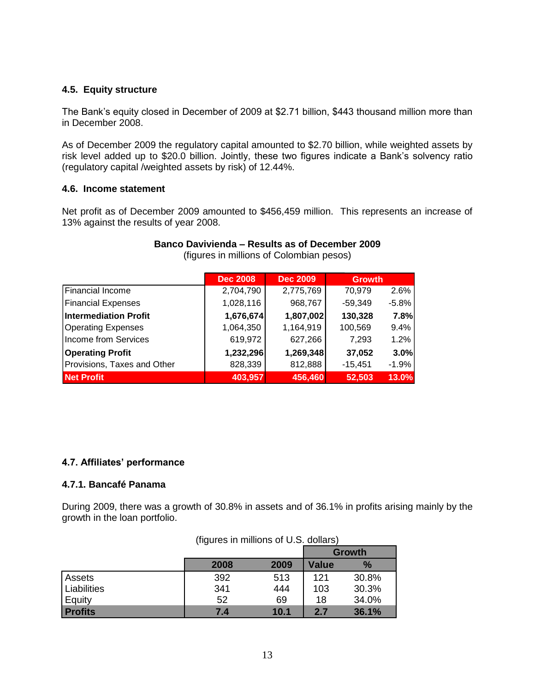## **4.5. Equity structure**

The Bank's equity closed in December of 2009 at \$2.71 billion, \$443 thousand million more than in December 2008.

As of December 2009 the regulatory capital amounted to \$2.70 billion, while weighted assets by risk level added up to \$20.0 billion. Jointly, these two figures indicate a Bank's solvency ratio (regulatory capital /weighted assets by risk) of 12.44%.

#### **4.6. Income statement**

Net profit as of December 2009 amounted to \$456,459 million. This represents an increase of 13% against the results of year 2008.

|                              | <b>Dec 2008</b> | <b>Dec 2009</b> | <b>Growth</b> |         |
|------------------------------|-----------------|-----------------|---------------|---------|
| Financial Income             | 2,704,790       | 2,775,769       | 70,979        | 2.6%    |
| <b>Financial Expenses</b>    | 1,028,116       | 968,767         | $-59,349$     | $-5.8%$ |
| <b>Intermediation Profit</b> | 1,676,674       | 1,807,002       | 130,328       | 7.8%    |
| <b>Operating Expenses</b>    | 1,064,350       | 1,164,919       | 100,569       | 9.4%    |
| Income from Services         | 619,972         | 627,266         | 7,293         | 1.2%    |
| <b>Operating Profit</b>      | 1,232,296       | 1,269,348       | 37,052        | 3.0%    |
| Provisions, Taxes and Other  | 828,339         | 812,888         | $-15,451$     | $-1.9%$ |
| <b>Net Profit</b>            | 403,957         | 456,460         | 52,503        | 13.0%   |

# **Banco Davivienda – Results as of December 2009**

(figures in millions of Colombian pesos)

## **4.7. Affiliates' performance**

## **4.7.1. Bancafé Panama**

During 2009, there was a growth of 30.8% in assets and of 36.1% in profits arising mainly by the growth in the loan portfolio.

|                | 11198103 111 1111111111111111101 0.0.0.00110131 |      |              |               |
|----------------|-------------------------------------------------|------|--------------|---------------|
|                |                                                 |      |              | Growth        |
|                | 2008                                            | 2009 | <b>Value</b> | $\frac{9}{6}$ |
| Assets         | 392                                             | 513  | 121          | 30.8%         |
| Liabilities    | 341                                             | 444  | 103          | 30.3%         |
| Equity         | 52                                              | 69   | 18           | 34.0%         |
| <b>Profits</b> | 7.4                                             | 10.1 | 2.7          | 36.1%         |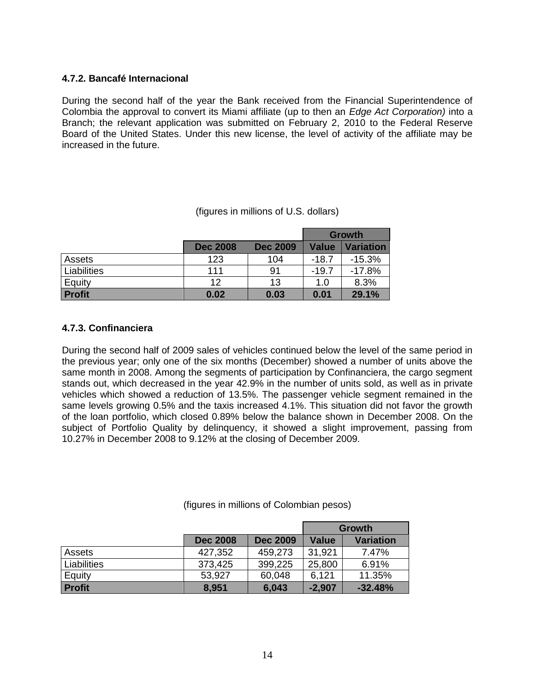## **4.7.2. Bancafé Internacional**

During the second half of the year the Bank received from the Financial Superintendence of Colombia the approval to convert its Miami affiliate (up to then an *Edge Act Corporation)* into a Branch; the relevant application was submitted on February 2, 2010 to the Federal Reserve Board of the United States. Under this new license, the level of activity of the affiliate may be increased in the future.

|               |                 |                 | <b>Growth</b> |                  |
|---------------|-----------------|-----------------|---------------|------------------|
|               | <b>Dec 2008</b> | <b>Dec 2009</b> | Value         | <b>Variation</b> |
| Assets        | 123             | 104             | $-18.7$       | $-15.3%$         |
| Liabilities   | 111             | 91              | $-19.7$       | $-17.8%$         |
| Equity        | 12              | 13              | 1.0           | 8.3%             |
| <b>Profit</b> | 0.02            | 0.03            | 0.01          | 29.1%            |

## (figures in millions of U.S. dollars)

## **4.7.3. Confinanciera**

During the second half of 2009 sales of vehicles continued below the level of the same period in the previous year; only one of the six months (December) showed a number of units above the same month in 2008. Among the segments of participation by Confinanciera, the cargo segment stands out, which decreased in the year 42.9% in the number of units sold, as well as in private vehicles which showed a reduction of 13.5%. The passenger vehicle segment remained in the same levels growing 0.5% and the taxis increased 4.1%. This situation did not favor the growth of the loan portfolio, which closed 0.89% below the balance shown in December 2008. On the subject of Portfolio Quality by delinquency, it showed a slight improvement, passing from 10.27% in December 2008 to 9.12% at the closing of December 2009.

(figures in millions of Colombian pesos)

|               |                 |                 | Growth       |                  |
|---------------|-----------------|-----------------|--------------|------------------|
|               | <b>Dec 2008</b> | <b>Dec 2009</b> | <b>Value</b> | <b>Variation</b> |
| Assets        | 427,352         | 459,273         | 31,921       | 7.47%            |
| Liabilities   | 373,425         | 399,225         | 25,800       | 6.91%            |
| Equity        | 53.927          | 60,048          | 6.121        | 11.35%           |
| <b>Profit</b> | 8,951           | 6,043           | $-2,907$     | $-32.48%$        |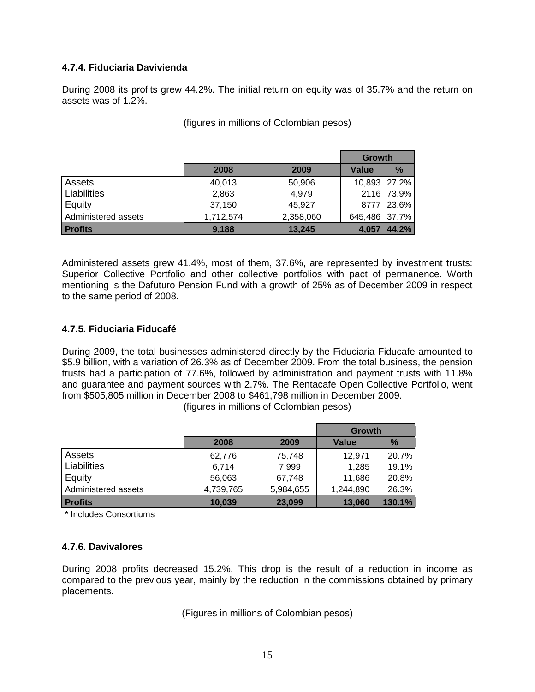## **4.7.4. Fiduciaria Davivienda**

During 2008 its profits grew 44.2%. The initial return on equity was of 35.7% and the return on assets was of 1.2%.

|                     |           |           | <b>Growth</b> |            |
|---------------------|-----------|-----------|---------------|------------|
|                     | 2008      | 2009      | Value         | $\%$       |
| Assets              | 40,013    | 50,906    | 10,893 27.2%  |            |
| Liabilities         | 2,863     | 4,979     |               | 2116 73.9% |
| Equity              | 37,150    | 45,927    |               | 8777 23.6% |
| Administered assets | 1,712,574 | 2,358,060 | 645,486 37.7% |            |
| <b>Profits</b>      | 9,188     | 13,245    | 4.057         | 44.2%      |

(figures in millions of Colombian pesos)

Administered assets grew 41.4%, most of them, 37.6%, are represented by investment trusts: Superior Collective Portfolio and other collective portfolios with pact of permanence. Worth mentioning is the Dafuturo Pension Fund with a growth of 25% as of December 2009 in respect to the same period of 2008.

## **4.7.5. Fiduciaria Fiducafé**

During 2009, the total businesses administered directly by the Fiduciaria Fiducafe amounted to \$5.9 billion, with a variation of 26.3% as of December 2009. From the total business, the pension trusts had a participation of 77.6%, followed by administration and payment trusts with 11.8% and guarantee and payment sources with 2.7%. The Rentacafe Open Collective Portfolio, went from \$505,805 million in December 2008 to \$461,798 million in December 2009.

(figures in millions of Colombian pesos)

|                     |           |           | Growth       |        |
|---------------------|-----------|-----------|--------------|--------|
|                     | 2008      | 2009      | <b>Value</b> | $\%$   |
| Assets              | 62,776    | 75,748    | 12,971       | 20.7%  |
| Liabilities         | 6,714     | 7,999     | 1,285        | 19.1%  |
| Equity              | 56,063    | 67,748    | 11,686       | 20.8%  |
| Administered assets | 4,739,765 | 5,984,655 | 1,244,890    | 26.3%  |
| <b>Profits</b>      | 10,039    | 23,099    | 13,060       | 130.1% |

\* Includes Consortiums

## **4.7.6. Davivalores**

During 2008 profits decreased 15.2%. This drop is the result of a reduction in income as compared to the previous year, mainly by the reduction in the commissions obtained by primary placements.

(Figures in millions of Colombian pesos)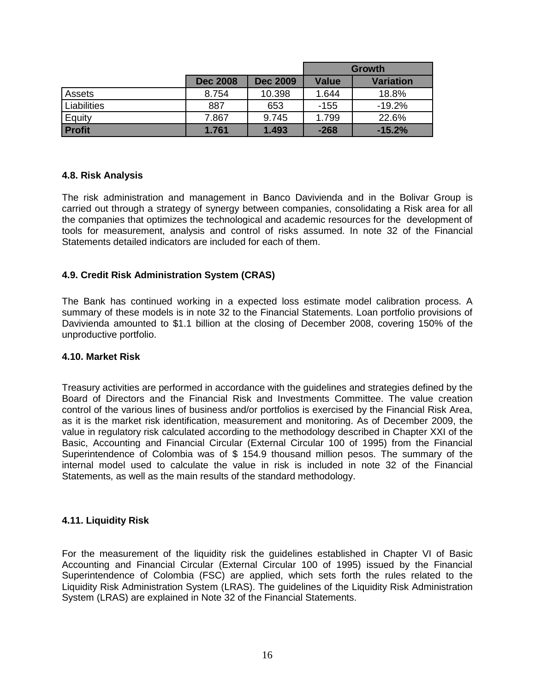|               |                 |                 | <b>Growth</b> |                  |  |
|---------------|-----------------|-----------------|---------------|------------------|--|
|               | <b>Dec 2008</b> | <b>Dec 2009</b> | <b>Value</b>  | <b>Variation</b> |  |
| Assets        | 8.754           | 10.398          | 1.644         | 18.8%            |  |
| Liabilities   | 887             | 653             | $-155$        | $-19.2\%$        |  |
| Equity        | 7.867           | 9.745           | 1.799         | 22.6%            |  |
| <b>Profit</b> | 1.761           | 1.493           | $-268$        | $-15.2%$         |  |

## **4.8. Risk Analysis**

The risk administration and management in Banco Davivienda and in the Bolivar Group is carried out through a strategy of synergy between companies, consolidating a Risk area for all the companies that optimizes the technological and academic resources for the development of tools for measurement, analysis and control of risks assumed. In note 32 of the Financial Statements detailed indicators are included for each of them.

## **4.9. Credit Risk Administration System (CRAS)**

The Bank has continued working in a expected loss estimate model calibration process. A summary of these models is in note 32 to the Financial Statements. Loan portfolio provisions of Davivienda amounted to \$1.1 billion at the closing of December 2008, covering 150% of the unproductive portfolio.

#### **4.10. Market Risk**

Treasury activities are performed in accordance with the guidelines and strategies defined by the Board of Directors and the Financial Risk and Investments Committee. The value creation control of the various lines of business and/or portfolios is exercised by the Financial Risk Area, as it is the market risk identification, measurement and monitoring. As of December 2009, the value in regulatory risk calculated according to the methodology described in Chapter XXI of the Basic, Accounting and Financial Circular (External Circular 100 of 1995) from the Financial Superintendence of Colombia was of \$ 154.9 thousand million pesos. The summary of the internal model used to calculate the value in risk is included in note 32 of the Financial Statements, as well as the main results of the standard methodology.

## **4.11. Liquidity Risk**

For the measurement of the liquidity risk the guidelines established in Chapter VI of Basic Accounting and Financial Circular (External Circular 100 of 1995) issued by the Financial Superintendence of Colombia (FSC) are applied, which sets forth the rules related to the Liquidity Risk Administration System (LRAS). The guidelines of the Liquidity Risk Administration System (LRAS) are explained in Note 32 of the Financial Statements.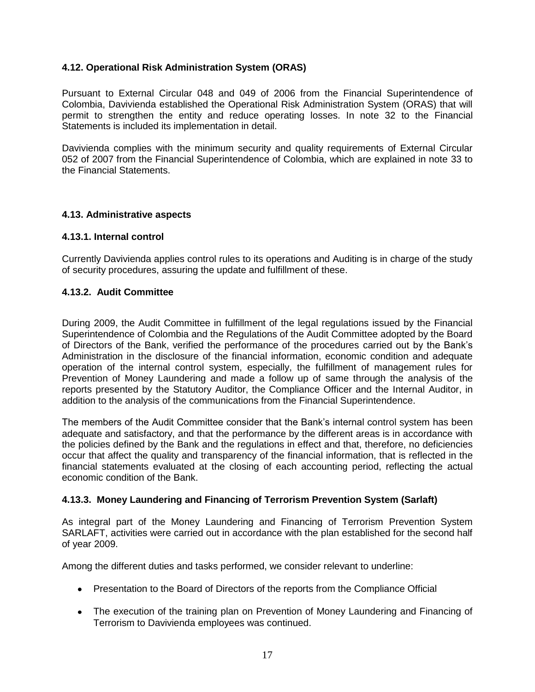## **4.12. Operational Risk Administration System (ORAS)**

Pursuant to External Circular 048 and 049 of 2006 from the Financial Superintendence of Colombia, Davivienda established the Operational Risk Administration System (ORAS) that will permit to strengthen the entity and reduce operating losses. In note 32 to the Financial Statements is included its implementation in detail.

Davivienda complies with the minimum security and quality requirements of External Circular 052 of 2007 from the Financial Superintendence of Colombia, which are explained in note 33 to the Financial Statements.

## **4.13. Administrative aspects**

## **4.13.1. Internal control**

Currently Davivienda applies control rules to its operations and Auditing is in charge of the study of security procedures, assuring the update and fulfillment of these.

### **4.13.2. Audit Committee**

During 2009, the Audit Committee in fulfillment of the legal regulations issued by the Financial Superintendence of Colombia and the Regulations of the Audit Committee adopted by the Board of Directors of the Bank, verified the performance of the procedures carried out by the Bank's Administration in the disclosure of the financial information, economic condition and adequate operation of the internal control system, especially, the fulfillment of management rules for Prevention of Money Laundering and made a follow up of same through the analysis of the reports presented by the Statutory Auditor, the Compliance Officer and the Internal Auditor, in addition to the analysis of the communications from the Financial Superintendence.

The members of the Audit Committee consider that the Bank's internal control system has been adequate and satisfactory, and that the performance by the different areas is in accordance with the policies defined by the Bank and the regulations in effect and that, therefore, no deficiencies occur that affect the quality and transparency of the financial information, that is reflected in the financial statements evaluated at the closing of each accounting period, reflecting the actual economic condition of the Bank.

## **4.13.3. Money Laundering and Financing of Terrorism Prevention System (Sarlaft)**

As integral part of the Money Laundering and Financing of Terrorism Prevention System SARLAFT, activities were carried out in accordance with the plan established for the second half of year 2009.

Among the different duties and tasks performed, we consider relevant to underline:

- Presentation to the Board of Directors of the reports from the Compliance Official
- The execution of the training plan on Prevention of Money Laundering and Financing of Terrorism to Davivienda employees was continued.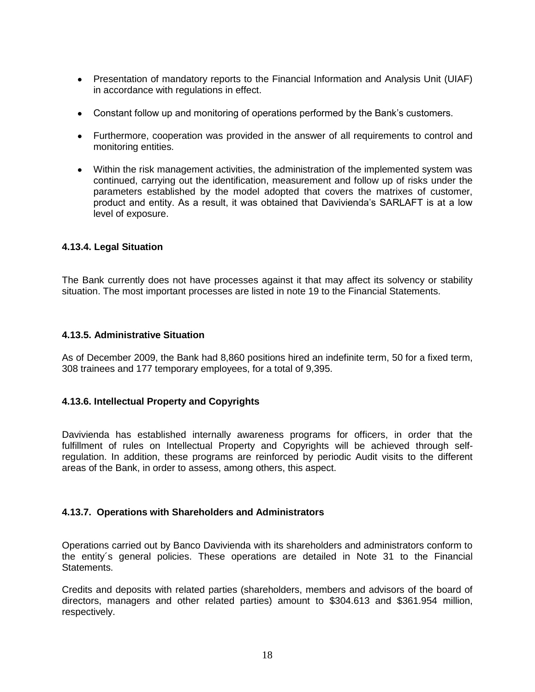- Presentation of mandatory reports to the Financial Information and Analysis Unit (UIAF) in accordance with regulations in effect.
- Constant follow up and monitoring of operations performed by the Bank's customers.
- Furthermore, cooperation was provided in the answer of all requirements to control and monitoring entities.
- Within the risk management activities, the administration of the implemented system was continued, carrying out the identification, measurement and follow up of risks under the parameters established by the model adopted that covers the matrixes of customer, product and entity. As a result, it was obtained that Davivienda's SARLAFT is at a low level of exposure.

## **4.13.4. Legal Situation**

The Bank currently does not have processes against it that may affect its solvency or stability situation. The most important processes are listed in note 19 to the Financial Statements.

## **4.13.5. Administrative Situation**

As of December 2009, the Bank had 8,860 positions hired an indefinite term, 50 for a fixed term, 308 trainees and 177 temporary employees, for a total of 9,395.

## **4.13.6. Intellectual Property and Copyrights**

Davivienda has established internally awareness programs for officers, in order that the fulfillment of rules on Intellectual Property and Copyrights will be achieved through selfregulation. In addition, these programs are reinforced by periodic Audit visits to the different areas of the Bank, in order to assess, among others, this aspect.

## **4.13.7. Operations with Shareholders and Administrators**

Operations carried out by Banco Davivienda with its shareholders and administrators conform to the entity´s general policies. These operations are detailed in Note 31 to the Financial Statements.

Credits and deposits with related parties (shareholders, members and advisors of the board of directors, managers and other related parties) amount to \$304.613 and \$361.954 million, respectively.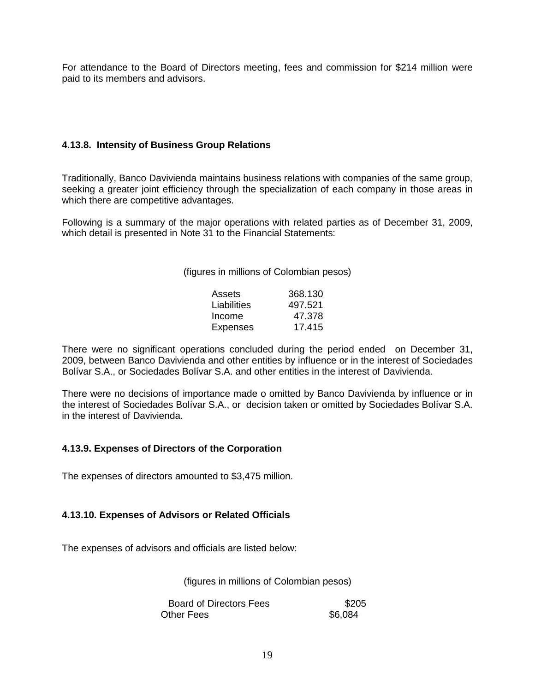For attendance to the Board of Directors meeting, fees and commission for \$214 million were paid to its members and advisors.

## **4.13.8. Intensity of Business Group Relations**

Traditionally, Banco Davivienda maintains business relations with companies of the same group, seeking a greater joint efficiency through the specialization of each company in those areas in which there are competitive advantages.

Following is a summary of the major operations with related parties as of December 31, 2009, which detail is presented in Note 31 to the Financial Statements:

(figures in millions of Colombian pesos)

| Assets          | 368.130 |
|-----------------|---------|
| Liabilities     | 497.521 |
| Income          | 47.378  |
| <b>Expenses</b> | 17.415  |

There were no significant operations concluded during the period ended on December 31, 2009, between Banco Davivienda and other entities by influence or in the interest of Sociedades Bolívar S.A., or Sociedades Bolívar S.A. and other entities in the interest of Davivienda.

There were no decisions of importance made o omitted by Banco Davivienda by influence or in the interest of Sociedades Bolívar S.A., or decision taken or omitted by Sociedades Bolívar S.A. in the interest of Davivienda.

## **4.13.9. Expenses of Directors of the Corporation**

The expenses of directors amounted to \$3,475 million.

## **4.13.10. Expenses of Advisors or Related Officials**

The expenses of advisors and officials are listed below:

(figures in millions of Colombian pesos)

Board of Directors Fees \$205 Other Fees **36,084**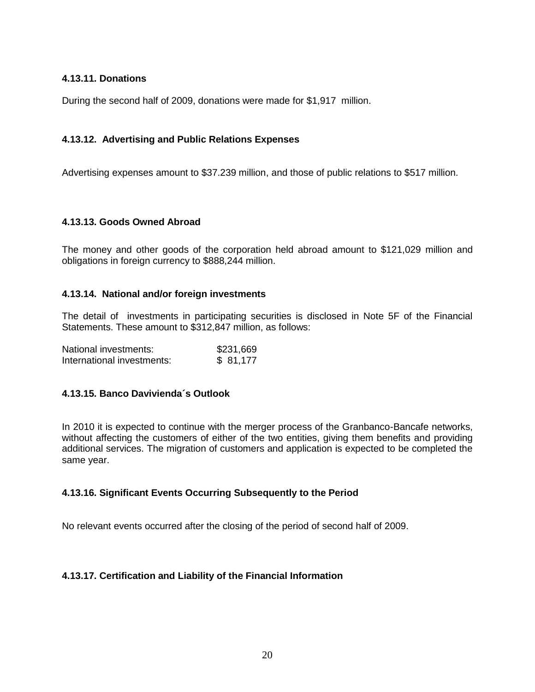## **4.13.11. Donations**

During the second half of 2009, donations were made for \$1,917 million.

## **4.13.12. Advertising and Public Relations Expenses**

Advertising expenses amount to \$37.239 million, and those of public relations to \$517 million.

## **4.13.13. Goods Owned Abroad**

The money and other goods of the corporation held abroad amount to \$121,029 million and obligations in foreign currency to \$888,244 million.

## **4.13.14. National and/or foreign investments**

The detail of investments in participating securities is disclosed in Note 5F of the Financial Statements. These amount to \$312,847 million, as follows:

| National investments:      | \$231,669 |
|----------------------------|-----------|
| International investments: | \$81,177  |

## **4.13.15. Banco Davivienda´s Outlook**

In 2010 it is expected to continue with the merger process of the Granbanco-Bancafe networks, without affecting the customers of either of the two entities, giving them benefits and providing additional services. The migration of customers and application is expected to be completed the same year.

## **4.13.16. Significant Events Occurring Subsequently to the Period**

No relevant events occurred after the closing of the period of second half of 2009.

## **4.13.17. Certification and Liability of the Financial Information**